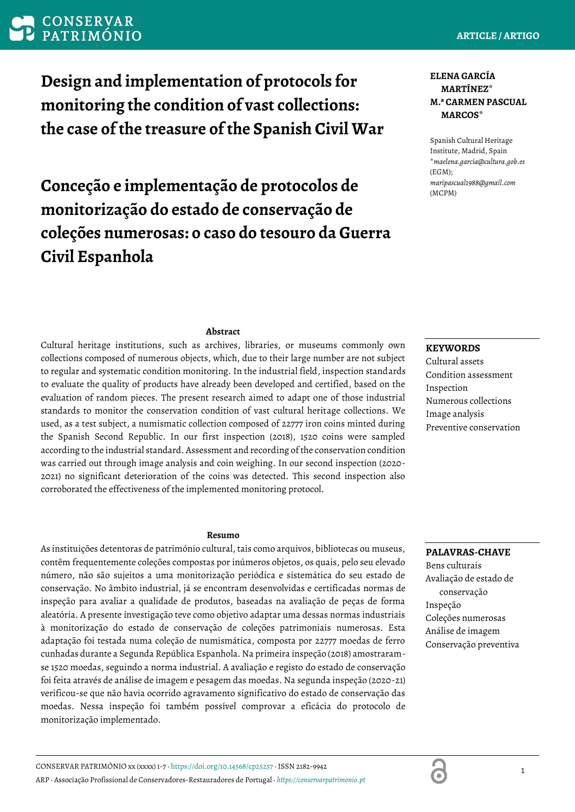CONSERVAR PATRIMÓNIO xx (xxxx) 1-7 · https://doi.org/10.14568/cp25257 · ISSN 2182-9942 ARP · Associação Profissional de Conservadores-Restauradores de Portugal · *[https://conservarpatrimonio.pt](https://conservarpatrimonio.pt/)*

# **ARTICLE / ARTIGO**

**Design and implementation of protocols for monitoring the condition of vast collections: the case of the treasure of the Spanish Civil War**

Conceção e implementação de protocolos de **protocolos en a protocolos** maripascual1988@gmail.com **monitorização do estado de conservação de coleções numerosas: o caso do tesouro da Guerra Civil Espanhola**

# **ELENA GARCÍA MARTÍNEZ\* M.ª CARMEN PASCUAL MARCOS\***

Spanish Cultural Heritage Institute, Madrid, Spain \**maelena.garcia@cultura.gob.es* (EGM);

### **Abstract**

Cultural heritage institutions, such as archives, libraries, or museums commonly own collections composed of numerous objects, which, due to their large number are not subject to regular and systematic condition monitoring. In the industrial field, inspection standards to evaluate the quality of products have already been developed and certified, based on the evaluation of random pieces. The present research aimed to adapt one of those industrial standards to monitor the conservation condition of vast cultural heritage collections. We used, as a test subject, a numismatic collection composed of 22777 iron coins minted during the Spanish Second Republic. In our first inspection (2018), 1520 coins were sampled according to the industrial standard. Assessment and recording of the conservation condition was carried out through image analysis and coin weighing. In our second inspection (2020- 2021) no significant deterioration of the coins was detected. This second inspection also corroborated the effectiveness of the implemented monitoring protocol.

#### **Resumo**

As instituições detentoras de património cultural, tais como arquivos, bibliotecas ou museus, contêm frequentemente coleções compostas por inúmeros objetos, os quais, pelo seu elevado número, não são sujeitos a uma monitorização periódica e sistemática do seu estado de conservação. No âmbito industrial, já se encontram desenvolvidas e certificadas normas de inspeção para avaliar a qualidade de produtos, baseadas na avaliação de peças de forma aleatória. A presente investigação teve como objetivo adaptar uma dessas normas industriais à monitorização do estado de conservação de coleções patrimoniais numerosas. Esta adaptação foi testada numa coleção de numismática, composta por 22777 moedas de ferro cunhadas durante a Segunda República Espanhola. Na primeira inspeção (2018) amostraramse 1520 moedas, seguindo a norma industrial. A avaliação e registo do estado de conservação foi feita através de análise de imagem e pesagem das moedas. Na segunda inspeção (2020-21) verificou-se que não havia ocorrido agravamento significativo do estado de conservação das moedas. Nessa inspeção foi também possível comprovar a eficácia do protocolo de monitorização implementado.

### **KEYWORDS**

Cultural assets Condition assessment Inspection Numerous collections Image analysis Preventive conservation

# **PALAVRAS-CHAVE**

Bens culturais Avaliação de estado de conservação Inspeção Coleções numerosas Análise de imagem Conservação preventiva

6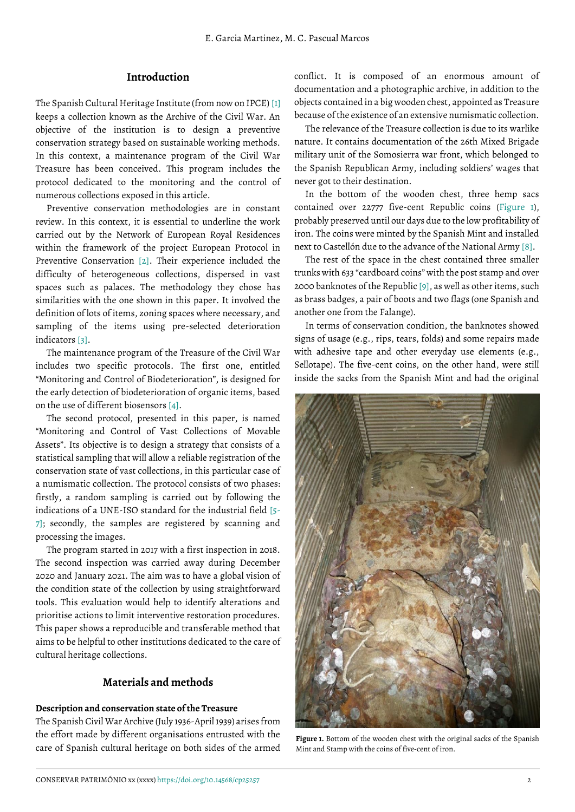## **Introduction**

The Spanish Cultural Heritage Institute (from now on IPCE) [\[1\]](#page-5-0) keeps a collection known as the Archive of the Civil War. An objective of the institution is to design a preventive conservation strategy based on sustainable working methods. In this context, a maintenance program of the Civil War Treasure has been conceived. This program includes the protocol dedicated to the monitoring and the control of numerous collections exposed in this article.

Preventive conservation methodologies are in constant review. In this context, it is essential to underline the work carried out by the Network of European Royal Residences within the framework of the project European Protocol in Preventive Conservation [\[2\]](#page-5-1). Their experience included the difficulty of heterogeneous collections, dispersed in vast spaces such as palaces. The methodology they chose has similarities with the one shown in this paper. It involved the definition of lots of items, zoning spaces where necessary, and sampling of the items using pre-selected deterioration indicators [\[3\]](#page-5-2).

The maintenance program of the Treasure of the Civil War includes two specific protocols. The first one, entitled "Monitoring and Control of Biodeterioration", is designed for the early detection of biodeterioration of organic items, based on the use of different biosensors [\[4\]](#page-5-3).

The second protocol, presented in this paper, is named "Monitoring and Control of Vast Collections of Movable Assets". Its objective is to design a strategy that consists of a statistical sampling that will allow a reliable registration of the conservation state of vast collections, in this particular case of a numismatic collection. The protocol consists of two phases: firstly, a random sampling is carried out by following the indications of a UNE-ISO standard for the industrial field [\[5-](#page-5-4) 7]; secondly, the samples are registered by scanning and processing the images.

The program started in 2017 with a first inspection in 2018. The second inspection was carried away during December 2020 and January 2021. The aim was to have a global vision of the condition state of the collection by using straightforward tools. This evaluation would help to identify alterations and prioritise actions to limit interventive restoration procedures. This paper shows a reproducible and transferable method that aims to be helpful to other institutions dedicated to the care of cultural heritage collections.

# <span id="page-1-0"></span>**Materials and methods**

#### **Description and conservation state of the Treasure**

The Spanish Civil War Archive (July 1936-April 1939) arises from the effort made by different organisations entrusted with the care of Spanish cultural heritage on both sides of the armed conflict. It is composed of an enormous amount of documentation and a photographic archive, in addition to the objects contained in a big wooden chest, appointed as Treasure because of the existence of an extensive numismatic collection.

The relevance of the Treasure collection is due to its warlike nature. It contains documentation of the 26th Mixed Brigade military unit of the Somosierra war front, which belonged to the Spanish Republican Army, including soldiers' wages that never got to their destination.

In the bottom of the wooden chest, three hemp sacs contained over 22777 five-cent Republic coins [\(Figure 1\)](#page-1-0), probably preserved until our days due to the low profitability of iron. The coins were minted by the Spanish Mint and installed next to Castellón due to the advance of the National Army [\[8\]](#page-5-5).

The rest of the space in the chest contained three smaller trunks with 633 "cardboard coins" with the post stamp and over 2000 banknotes of the Republic [\[9\]](#page-5-6), as well as other items, such as brass badges, a pair of boots and two flags (one Spanish and another one from the Falange).

In terms of conservation condition, the banknotes showed signs of usage (e.g., rips, tears, folds) and some repairs made with adhesive tape and other everyday use elements (e.g., Sellotape). The five-cent coins, on the other hand, were still inside the sacks from the Spanish Mint and had the original



Figure 1. Bottom of the wooden chest with the original sacks of the Spanish Mint and Stamp with the coins of five-cent of iron.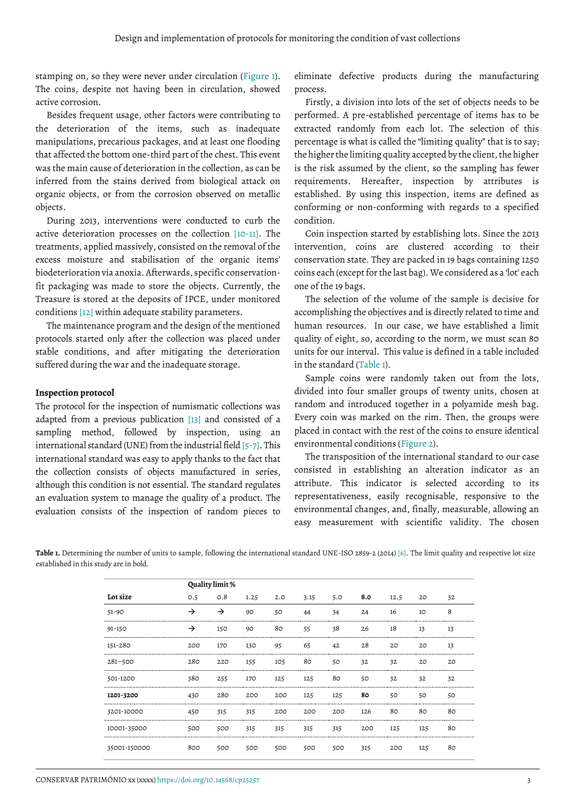stamping on, so they were never under circulation [\(Figure 1\)](#page-1-0). The coins, despite not having been in circulation, showed active corrosion.

Besides frequent usage, other factors were contributing to the deterioration of the items, such as inadequate manipulations, precarious packages, and at least one flooding that affected the bottom one-third part of the chest. This event was the main cause of deterioration in the collection, as can be inferred from the stains derived from biological attack on organic objects, or from the corrosion observed on metallic objects.

During 2013, interventions were conducted to curb the active deterioration processes on the collection [\[10-](#page-5-7)11]. The treatments, applied massively, consisted on the removal of the excess moisture and stabilisation of the organic items' biodeterioration via anoxia. Afterwards, specific conservationfit packaging was made to store the objects. Currently, the Treasure is stored at the deposits of IPCE, under monitored conditions [\[12\]](#page-5-8) within adequate stability parameters.

The maintenance program and the design of the mentioned protocols started only after the collection was placed under stable conditions, and after mitigating the deterioration suffered during the war and the inadequate storage.

#### **Inspection protocol**

The protocol for the inspection of numismatic collections was adapted from a previous publication [\[13\]](#page-5-9) and consisted of a sampling method, followed by inspection, using an international standard (UNE) from the industrial field [\[5-](#page-5-4)7]. This international standard was easy to apply thanks to the fact that the collection consists of objects manufactured in series, although this condition is not essential. The standard regulates an evaluation system to manage the quality of a product. The evaluation consists of the inspection of random pieces to

eliminate defective products during the manufacturing process.

Firstly, a division into lots of the set of objects needs to be performed. A pre-established percentage of items has to be extracted randomly from each lot. The selection of this percentage is what is called the "limiting quality" that is to say; the higher the limiting quality accepted by the client, the higher is the risk assumed by the client, so the sampling has fewer requirements. Hereafter, inspection by attributes is established. By using this inspection, items are defined as conforming or non-conforming with regards to a specified condition.

Coin inspection started by establishing lots. Since the 2013 intervention, coins are clustered according to their conservation state. They are packed in 19 bags containing 1250 coins each (except for the last bag). We considered as a 'lot' each one of the 19 bags.

The selection of the volume of the sample is decisive for accomplishing the objectives and is directly related to time and human resources. In our case, we have established a limit quality of eight, so, according to the norm, we must scan 80 units for our interval. This value is defined in a table included in the standard [\(Table 1\)](#page-2-0).

Sample coins were randomly taken out from the lots, divided into four smaller groups of twenty units, chosen at random and introduced together in a polyamide mesh bag. Every coin was marked on the rim. Then, the groups were placed in contact with the rest of the coins to ensure identical environmental conditions [\(Figure 2\)](#page-3-0).

The transposition of the international standard to our case consisted in establishing an alteration indicator as an attribute. This indicator is selected according to its representativeness, easily recognisable, responsive to the environmental changes, and, finally, measurable, allowing an easy measurement with scientific validity. The chosen

<span id="page-2-0"></span>**Table 1.** Determining the number of units to sample, following the international standard UNE-ISO 2859-2 (2014) [\[6\]](#page-5-10). The limit quality and respective lot size established in this study are in bold.

|              | Quality limit % |     |         |     |      |     |     |      |     |    |
|--------------|-----------------|-----|---------|-----|------|-----|-----|------|-----|----|
| Lot size     | 0.5             | O.8 | 1.25    | 2.0 | 3.15 | 5.0 | 8.0 | 12.5 | 20  | 32 |
| $51 - 90$    | →               | →   | 90      | 50  | 44   | 34  | 24  | 16   | 10  | 8  |
| 91-150       | →               | 150 | 90      | 80  | 55   | 38  | 26  | 18   | 13  | 13 |
| 151-280      | 200             | 170 | 130     | 95  | 65   | 42  | 28  | 20   | 2O  | 13 |
| $281 - 500$  | 280             | 220 | 155     | 105 | 80   | 50  | 32  | 32   | 20  | 20 |
| 501-1200     | 380             | 255 | 170<br> | 125 | 125  | 80  | 50  | 32   | 32  | 32 |
| 1201-3200    | 430             | 280 | 200     | 200 | 125  | 125 | 80  | 50   | 50  | 50 |
| 3201-10000   | 450             | 315 | 315     | 200 | 200  | 200 | 126 | 80   | 80  | 80 |
| 10001-35000  | 500             | 500 | 315     | 315 | 315  | 315 | 200 | 125  | 125 | 80 |
| 35001-150000 | 800             | 500 | 500     | 500 | 500  | 500 | 315 | 200  | 125 | 80 |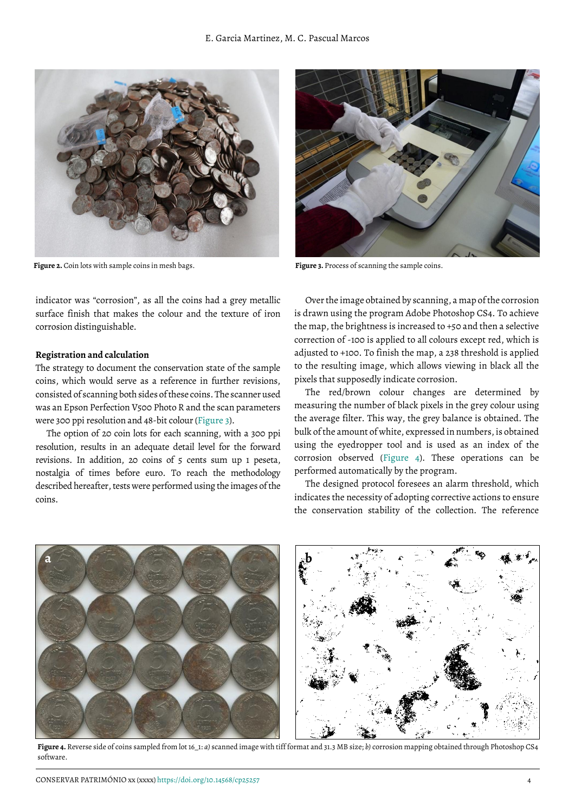

**Figure 2.** Coin lots with sample coins in mesh bags.

<span id="page-3-0"></span>indicator was "corrosion", as all the coins had a grey metallic surface finish that makes the colour and the texture of iron corrosion distinguishable.

#### **Registration and calculation**

The strategy to document the conservation state of the sample coins, which would serve as a reference in further revisions, consisted of scanning both sides of these coins. The scanner used was an Epson Perfection V500 Photo R and the scan parameters were 300 ppi resolution and 48-bit colour [\(Figure 3\)](#page-3-1).

The option of 20 coin lots for each scanning, with a 300 ppi resolution, results in an adequate detail level for the forward revisions. In addition, 20 coins of 5 cents sum up 1 peseta, nostalgia of times before euro. To reach the methodology described hereafter, tests were performed using the images of the coins.



**Figure 3.** Process of scanning the sample coins.

<span id="page-3-1"></span>Over the image obtained by scanning, a map of the corrosion is drawn using the program Adobe Photoshop CS4. To achieve the map, the brightness is increased to +50 and then a selective correction of -100 is applied to all colours except red, which is adjusted to +100. To finish the map, a 238 threshold is applied to the resulting image, which allows viewing in black all the pixels that supposedly indicate corrosion.

The red/brown colour changes are determined by measuring the number of black pixels in the grey colour using the average filter. This way, the grey balance is obtained. The bulk of the amount of white, expressed in numbers, is obtained using the eyedropper tool and is used as an index of the corrosion observed [\(Figure 4\)](#page-3-2). These operations can be performed automatically by the program.

The designed protocol foresees an alarm threshold, which indicates the necessity of adopting corrective actions to ensure the conservation stability of the collection. The reference

<span id="page-3-2"></span>

**Figure 4.** Reverse side of coins sampled from lot 16\_1: *a)* scanned image with tiff format and 31.3 MB size; *b)* corrosion mapping obtained through Photoshop CS4 software.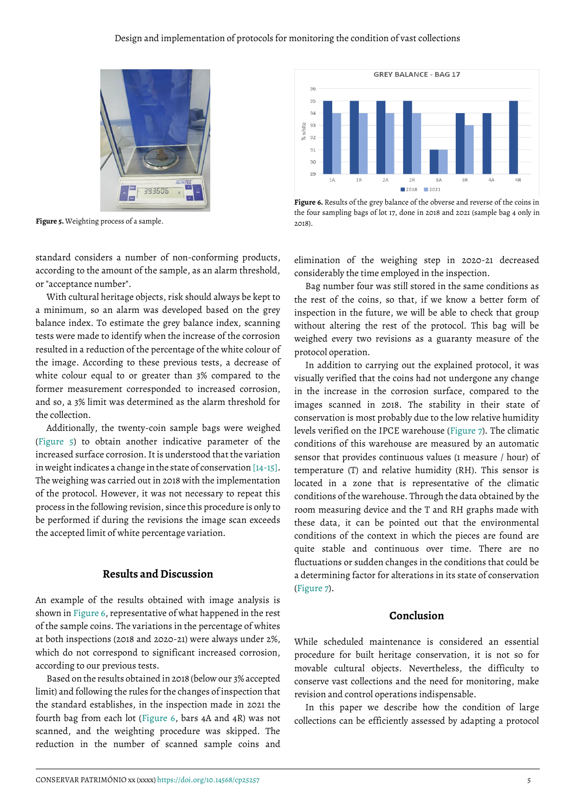

**Figure 5.** Weighting process of a sample.

<span id="page-4-0"></span>

With cultural heritage objects, risk should always be kept to a minimum, so an alarm was developed based on the grey balance index. To estimate the grey balance index, scanning tests were made to identify when the increase of the corrosion resulted in a reduction of the percentage of the white colour of the image. According to these previous tests, a decrease of white colour equal to or greater than 3% compared to the former measurement corresponded to increased corrosion, and so, a 3% limit was determined as the alarm threshold for the collection.

Additionally, the twenty-coin sample bags were weighed [\(Figure 5\)](#page-4-0) to obtain another indicative parameter of the increased surface corrosion. It is understood that the variation in weight indicates a change in the state of conservation [\[14-](#page-6-0)15]. The weighing was carried out in 2018 with the implementation of the protocol. However, it was not necessary to repeat this process in the following revision, since this procedure is only to be performed if during the revisions the image scan exceeds the accepted limit of white percentage variation.

## **Results and Discussion**

An example of the results obtained with image analysis is shown in [Figure 6,](#page-4-1) representative of what happened in the rest of the sample coins. The variations in the percentage of whites at both inspections (2018 and 2020-21) were always under 2%, which do not correspond to significant increased corrosion, according to our previous tests.

Based on the results obtained in 2018 (below our 3% accepted limit) and following the rules for the changes of inspection that the standard establishes, in the inspection made in 2021 the fourth bag from each lot [\(Figure 6,](#page-4-1) bars 4A and 4R) was not scanned, and the weighting procedure was skipped. The reduction in the number of scanned sample coins and



<span id="page-4-1"></span>Figure 6. Results of the grey balance of the obverse and reverse of the coins in the four sampling bags of lot 17, done in 2018 and 2021 (sample bag 4 only in 2018).

elimination of the weighing step in 2020-21 decreased considerably the time employed in the inspection.

Bag number four was still stored in the same conditions as the rest of the coins, so that, if we know a better form of inspection in the future, we will be able to check that group without altering the rest of the protocol. This bag will be weighed every two revisions as a guaranty measure of the protocol operation.

In addition to carrying out the explained protocol, it was visually verified that the coins had not undergone any change in the increase in the corrosion surface, compared to the images scanned in 2018. The stability in their state of conservation is most probably due to the low relative humidity levels verified on the IPCE warehouse [\(Figure 7\)](#page-5-11). The climatic conditions of this warehouse are measured by an automatic sensor that provides continuous values (1 measure / hour) of temperature (T) and relative humidity (RH). This sensor is located in a zone that is representative of the climatic conditions of the warehouse. Through the data obtained by the room measuring device and the T and RH graphs made with these data, it can be pointed out that the environmental conditions of the context in which the pieces are found are quite stable and continuous over time. There are no fluctuations or sudden changes in the conditions that could be a determining factor for alterations in its state of conservation [\(Figure 7\)](#page-5-11).

#### **Conclusion**

While scheduled maintenance is considered an essential procedure for built heritage conservation, it is not so for movable cultural objects. Nevertheless, the difficulty to conserve vast collections and the need for monitoring, make revision and control operations indispensable.

In this paper we describe how the condition of large collections can be efficiently assessed by adapting a protocol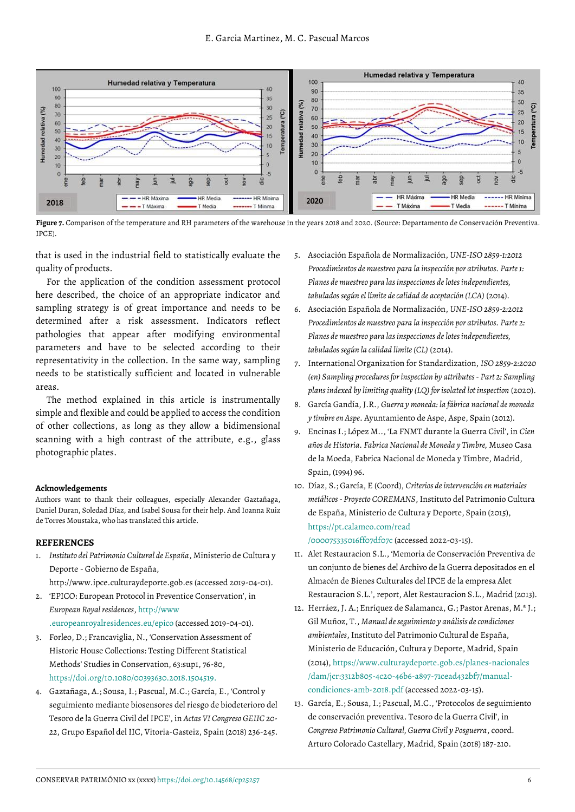

<span id="page-5-11"></span>**Figure 7.** Comparison of the temperature and RH parameters of the warehouse in the years 2018 and 2020. (Source: Departamento de Conservación Preventiva. IPCE).

that is used in the industrial field to statistically evaluate the quality of products.

For the application of the condition assessment protocol here described, the choice of an appropriate indicator and sampling strategy is of great importance and needs to be determined after a risk assessment. Indicators reflect pathologies that appear after modifying environmental parameters and have to be selected according to their representativity in the collection. In the same way, sampling needs to be statistically sufficient and located in vulnerable areas.

The method explained in this article is instrumentally simple and flexible and could be applied to access the condition of other collections, as long as they allow a bidimensional scanning with a high contrast of the attribute, e.g., glass photographic plates.

#### **Acknowledgements**

Authors want to thank their colleagues, especially Alexander Gaztañaga, Daniel Duran, Soledad Díaz, and Isabel Sousa for their help. And Ioanna Ruiz de Torres Moustaka, who has translated this article.

#### **REFERENCES**

<span id="page-5-0"></span>1. *Instituto del Patrimonio Cultural de España*, Ministerio de Cultura y Deporte - Gobierno de España,

http://www.ipce.culturaydeporte.gob.es (accessed 2019-04-01).

- <span id="page-5-1"></span>2. 'EPICO: European Protocol in Preventice Conservation', in *European Royal residences*, [http://www](http://www.europeanroyalresidences.eu/epico) [.europeanroyalresidences.eu/epico](http://www.europeanroyalresidences.eu/epico) (accessed 2019-04-01).
- <span id="page-5-2"></span>3. Forleo, D.; Francaviglia, N., 'Conservation Assessment of Historic House Collections: Testing Different Statistical Methods' Studies in Conservation, 63:sup1, 76-80, [https://doi.org/10.1080/00393630.2018.1504519.](https://doi.org/10.1080/00393630.2018.1504519)
- <span id="page-5-3"></span>4. Gaztañaga, A.; Sousa, I.; Pascual, M.C.; García, E., 'Control y seguimiento mediante biosensores del riesgo de biodeterioro del Tesoro de la Guerra Civil del IPCE', in *Actas VI Congreso GEIIC 20- 22*, Grupo Español del IIC, Vitoria-Gasteiz, Spain (2018) 236-245.
- <span id="page-5-4"></span>5. Asociación Española de Normalización, *UNE-ISO 2859-1:2012 Procedimientos de muestreo para la inspección por atributos. Parte 1: Planes de muestreo para las inspecciones de lotes independientes, tabulados según el límite de calidad de aceptación (LCA)* (2014).
- <span id="page-5-10"></span>6. Asociación Española de Normalización, *UNE-ISO 2859-2:2012 Procedimientos de muestreo para la inspección por atributos. Parte 2: Planes de muestreo para las inspecciones de lotes independientes, tabulados según la calidad limite (CL)* (2014).
- 7. International Organization for Standardization, *ISO 2859-2:2020 (en) Sampling procedures for inspection by attributes - Part 2: Sampling plans indexed by limiting quality (LQ) for isolated lot inspection* (2020).
- <span id="page-5-5"></span>8. García Gandía, J.R., *Guerra y moneda: la fábrica nacional de moneda y timbre en Aspe*. Ayuntamiento de Aspe, Aspe, Spain (2012).
- <span id="page-5-6"></span>9. Encinas I.; López M.., 'La FNMT durante la Guerra Civil', in *Cien años de Historia. Fabrica Nacional de Moneda y Timbre,* Museo Casa de la Moeda, Fabrica Nacional de Moneda y Timbre, Madrid, Spain, (1994) 96.
- <span id="page-5-7"></span>10. Díaz, S.; García, E (Coord), *Criterios de intervención en materiales metálicos - Proyecto COREMANS*, Instituto del Patrimonio Cultura de España, Ministerio de Cultura y Deporte, Spain (2015), [https://pt.calameo.com/read](https://pt.calameo.com/read/000075335016ff07df07c)

[/000075335016ff07df07c](https://pt.calameo.com/read/000075335016ff07df07c) (accessed 2022-03-15).

- 11. Alet Restauracion S.L., 'Memoria de Conservación Preventiva de un conjunto de bienes del Archivo de la Guerra depositados en el Almacén de Bienes Culturales del IPCE de la empresa Alet Restauracion S.L.', report, Alet Restauracion S.L., Madrid (2013).
- <span id="page-5-8"></span>12. Herráez, J. A.; Enríquez de Salamanca, G.; Pastor Arenas, M.ª J.; Gil Muñoz, T., *Manual de seguimiento y análisis de condiciones ambientales*, Instituto del Patrimonio Cultural de España, Ministerio de Educación, Cultura y Deporte, Madrid, Spain (2014)[, https://www.culturaydeporte.gob.es/planes-nacionales](https://www.culturaydeporte.gob.es/planes-nacionales/dam/jcr:3312b805-4c20-46b6-a897-71cead432bf7/manual-condiciones-amb-2018.pdf) [/dam/jcr:3312b805-4c20-46b6-a897-71cead432bf7/manual](https://www.culturaydeporte.gob.es/planes-nacionales/dam/jcr:3312b805-4c20-46b6-a897-71cead432bf7/manual-condiciones-amb-2018.pdf)[condiciones-amb-2018.pdf](https://www.culturaydeporte.gob.es/planes-nacionales/dam/jcr:3312b805-4c20-46b6-a897-71cead432bf7/manual-condiciones-amb-2018.pdf) (accessed 2022-03-15).
- <span id="page-5-9"></span>13. García, E.; Sousa, I.; Pascual, M.C., 'Protocolos de seguimiento de conservación preventiva. Tesoro de la Guerra Civil', in *Congreso Patrimonio Cultural, Guerra Civil y Posguerra*, coord. Arturo Colorado Castellary, Madrid, Spain (2018) 187-210.